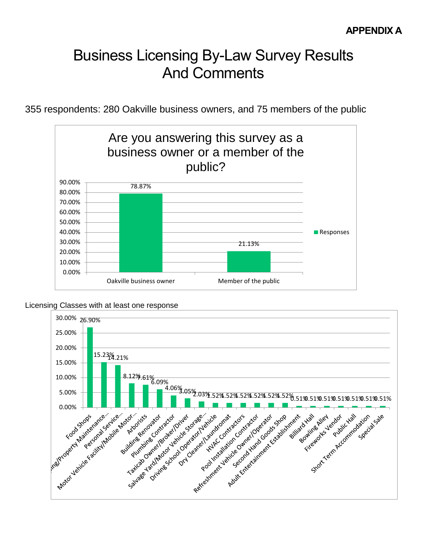# Business Licensing By-Law Survey Results And Comments

355 respondents: 280 Oakville business owners, and 75 members of the public



Licensing Classes with at least one response

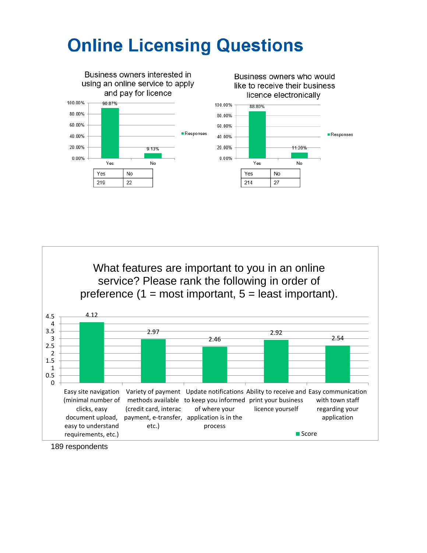# **Online Licensing Questions**



4.12 2.97 2.46 2.92 2.54 1 1.5 2 2.5 3 3.5 4 4.5 What features are important to you in an online service? Please rank the following in order of preference  $(1 = \text{most important}, 5 = \text{least important}).$ 



189 respondents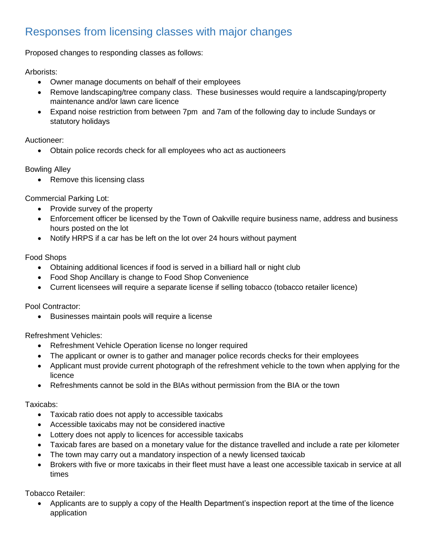## Responses from licensing classes with major changes

Proposed changes to responding classes as follows:

Arborists:

- Owner manage documents on behalf of their employees
- Remove landscaping/tree company class. These businesses would require a landscaping/property maintenance and/or lawn care licence
- Expand noise restriction from between 7pm and 7am of the following day to include Sundays or statutory holidays

Auctioneer:

Obtain police records check for all employees who act as auctioneers

Bowling Alley

• Remove this licensing class

Commercial Parking Lot:

- Provide survey of the property
- Enforcement officer be licensed by the Town of Oakville require business name, address and business hours posted on the lot
- Notify HRPS if a car has be left on the lot over 24 hours without payment

#### Food Shops

- Obtaining additional licences if food is served in a billiard hall or night club
- Food Shop Ancillary is change to Food Shop Convenience
- Current licensees will require a separate license if selling tobacco (tobacco retailer licence)

Pool Contractor:

Businesses maintain pools will require a license

Refreshment Vehicles:

- Refreshment Vehicle Operation license no longer required
- The applicant or owner is to gather and manager police records checks for their employees
- Applicant must provide current photograph of the refreshment vehicle to the town when applying for the licence
- Refreshments cannot be sold in the BIAs without permission from the BIA or the town

#### Taxicabs:

- Taxicab ratio does not apply to accessible taxicabs
- Accessible taxicabs may not be considered inactive
- Lottery does not apply to licences for accessible taxicabs
- Taxicab fares are based on a monetary value for the distance travelled and include a rate per kilometer
- The town may carry out a mandatory inspection of a newly licensed taxicab
- Brokers with five or more taxicabs in their fleet must have a least one accessible taxicab in service at all times

Tobacco Retailer:

 Applicants are to supply a copy of the Health Department's inspection report at the time of the licence application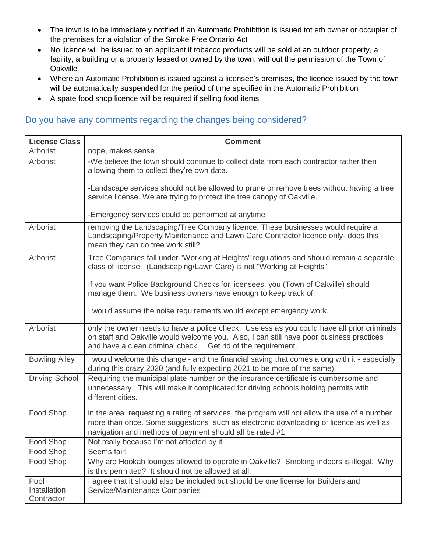- The town is to be immediately notified if an Automatic Prohibition is issued tot eth owner or occupier of the premises for a violation of the Smoke Free Ontario Act
- No licence will be issued to an applicant if tobacco products will be sold at an outdoor property, a facility, a building or a property leased or owned by the town, without the permission of the Town of **Oakville**
- Where an Automatic Prohibition is issued against a licensee's premises, the licence issued by the town will be automatically suspended for the period of time specified in the Automatic Prohibition
- A spate food shop licence will be required if selling food items

#### Do you have any comments regarding the changes being considered?

| <b>License Class</b>       | <b>Comment</b>                                                                                                                                                                                                                                        |
|----------------------------|-------------------------------------------------------------------------------------------------------------------------------------------------------------------------------------------------------------------------------------------------------|
| Arborist                   | nope, makes sense                                                                                                                                                                                                                                     |
| Arborist                   | -We believe the town should continue to collect data from each contractor rather then<br>allowing them to collect they're own data.                                                                                                                   |
|                            | -Landscape services should not be allowed to prune or remove trees without having a tree<br>service license. We are trying to protect the tree canopy of Oakville.                                                                                    |
|                            | -Emergency services could be performed at anytime                                                                                                                                                                                                     |
| Arborist                   | removing the Landscaping/Tree Company licence. These businesses would require a<br>Landscaping/Property Maintenance and Lawn Care Contractor licence only- does this<br>mean they can do tree work still?                                             |
| Arborist                   | Tree Companies fall under "Working at Heights" regulations and should remain a separate<br>class of license. (Landscaping/Lawn Care) is not "Working at Heights"                                                                                      |
|                            | If you want Police Background Checks for licensees, you (Town of Oakville) should<br>manage them. We business owners have enough to keep track of!                                                                                                    |
|                            | I would assume the noise requirements would except emergency work.                                                                                                                                                                                    |
| Arborist                   | only the owner needs to have a police check. Useless as you could have all prior criminals<br>on staff and Oakville would welcome you. Also, I can still have poor business practices<br>and have a clean criminal check. Get rid of the requirement. |
| <b>Bowling Alley</b>       | I would welcome this change - and the financial saving that comes along with it - especially<br>during this crazy 2020 (and fully expecting 2021 to be more of the same).                                                                             |
| <b>Driving School</b>      | Requiring the municipal plate number on the insurance certificate is cumbersome and<br>unnecessary. This will make it complicated for driving schools holding permits with<br>different cities.                                                       |
| Food Shop                  | in the area requesting a rating of services, the program will not allow the use of a number<br>more than once. Some suggestions such as electronic downloading of licence as well as<br>navigation and methods of payment should all be rated #1      |
| Food Shop                  | Not really because I'm not affected by it.                                                                                                                                                                                                            |
| Food Shop                  | Seems fair!                                                                                                                                                                                                                                           |
| Food Shop                  | Why are Hookah lounges allowed to operate in Oakville? Smoking indoors is illegal. Why<br>is this permitted? It should not be allowed at all.                                                                                                         |
| Pool                       | I agree that it should also be included but should be one license for Builders and                                                                                                                                                                    |
| Installation<br>Contractor | Service/Maintenance Companies                                                                                                                                                                                                                         |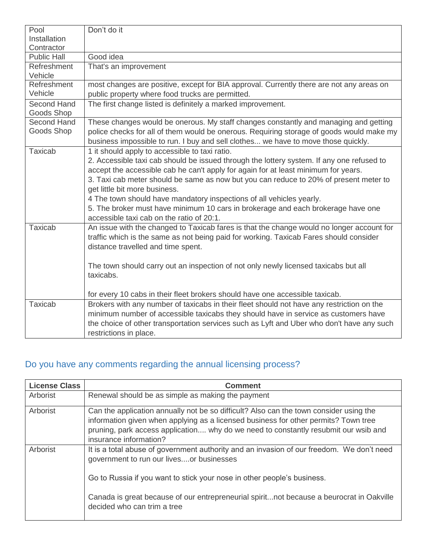| Pool                             | Don't do it                                                                                                                   |
|----------------------------------|-------------------------------------------------------------------------------------------------------------------------------|
| Installation                     |                                                                                                                               |
| Contractor                       |                                                                                                                               |
| <b>Public Hall</b>               | Good idea                                                                                                                     |
| Refreshment                      | That's an improvement                                                                                                         |
| Vehicle                          |                                                                                                                               |
| Refreshment                      | most changes are positive, except for BIA approval. Currently there are not any areas on                                      |
| Vehicle                          | public property where food trucks are permitted.                                                                              |
| <b>Second Hand</b><br>Goods Shop | The first change listed is definitely a marked improvement.                                                                   |
| Second Hand                      | These changes would be onerous. My staff changes constantly and managing and getting                                          |
| Goods Shop                       | police checks for all of them would be onerous. Requiring storage of goods would make my                                      |
|                                  | business impossible to run. I buy and sell clothes we have to move those quickly.                                             |
| <b>Taxicab</b>                   | 1 it should apply to accessible to taxi ratio.                                                                                |
|                                  | 2. Accessible taxi cab should be issued through the lottery system. If any one refused to                                     |
|                                  | accept the accessible cab he can't apply for again for at least minimum for years.                                            |
|                                  | 3. Taxi cab meter should be same as now but you can reduce to 20% of present meter to                                         |
|                                  | get little bit more business.                                                                                                 |
|                                  | 4 The town should have mandatory inspections of all vehicles yearly.                                                          |
|                                  | 5. The broker must have minimum 10 cars in brokerage and each brokerage have one<br>accessible taxi cab on the ratio of 20:1. |
| <b>Taxicab</b>                   | An issue with the changed to Taxicab fares is that the change would no longer account for                                     |
|                                  | traffic which is the same as not being paid for working. Taxicab Fares should consider                                        |
|                                  | distance travelled and time spent.                                                                                            |
|                                  | The town should carry out an inspection of not only newly licensed taxicabs but all                                           |
|                                  | taxicabs.                                                                                                                     |
|                                  |                                                                                                                               |
|                                  | for every 10 cabs in their fleet brokers should have one accessible taxicab.                                                  |
| <b>Taxicab</b>                   | Brokers with any number of taxicabs in their fleet should not have any restriction on the                                     |
|                                  | minimum number of accessible taxicabs they should have in service as customers have                                           |
|                                  | the choice of other transportation services such as Lyft and Uber who don't have any such                                     |
|                                  | restrictions in place.                                                                                                        |

# Do you have any comments regarding the annual licensing process?

| <b>License Class</b> | <b>Comment</b>                                                                                                                                                                                                                                                                                 |
|----------------------|------------------------------------------------------------------------------------------------------------------------------------------------------------------------------------------------------------------------------------------------------------------------------------------------|
| Arborist             | Renewal should be as simple as making the payment                                                                                                                                                                                                                                              |
| Arborist             | Can the application annually not be so difficult? Also can the town consider using the<br>information given when applying as a licensed business for other permits? Town tree<br>pruning, park access application why do we need to constantly resubmit our wsib and<br>insurance information? |
| Arborist             | It is a total abuse of government authority and an invasion of our freedom. We don't need<br>government to run our livesor businesses                                                                                                                                                          |
|                      | Go to Russia if you want to stick your nose in other people's business.                                                                                                                                                                                                                        |
|                      | Canada is great because of our entrepreneurial spiritnot because a beurocrat in Oakville<br>decided who can trim a tree                                                                                                                                                                        |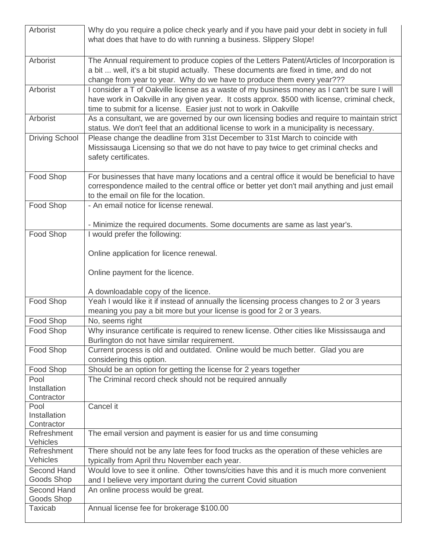| Arborist                   | Why do you require a police check yearly and if you have paid your debt in society in full<br>what does that have to do with running a business. Slippery Slope!                                                                                                   |
|----------------------------|--------------------------------------------------------------------------------------------------------------------------------------------------------------------------------------------------------------------------------------------------------------------|
| Arborist                   | The Annual requirement to produce copies of the Letters Patent/Articles of Incorporation is<br>a bit  well, it's a bit stupid actually. These documents are fixed in time, and do not<br>change from year to year. Why do we have to produce them every year???    |
| Arborist                   | I consider a T of Oakville license as a waste of my business money as I can't be sure I will<br>have work in Oakville in any given year. It costs approx. \$500 with license, criminal check,<br>time to submit for a license. Easier just not to work in Oakville |
| Arborist                   | As a consultant, we are governed by our own licensing bodies and require to maintain strict<br>status. We don't feel that an additional license to work in a municipality is necessary.                                                                            |
| <b>Driving School</b>      | Please change the deadline from 31st December to 31st March to coincide with<br>Mississauga Licensing so that we do not have to pay twice to get criminal checks and<br>safety certificates.                                                                       |
| Food Shop                  | For businesses that have many locations and a central office it would be beneficial to have<br>correspondence mailed to the central office or better yet don't mail anything and just email<br>to the email on file for the location.                              |
| Food Shop                  | - An email notice for license renewal.                                                                                                                                                                                                                             |
| Food Shop                  | - Minimize the required documents. Some documents are same as last year's.<br>I would prefer the following:                                                                                                                                                        |
|                            | Online application for licence renewal.                                                                                                                                                                                                                            |
|                            | Online payment for the licence.                                                                                                                                                                                                                                    |
|                            | A downloadable copy of the licence.                                                                                                                                                                                                                                |
| Food Shop                  | Yeah I would like it if instead of annually the licensing process changes to 2 or 3 years<br>meaning you pay a bit more but your license is good for 2 or 3 years.                                                                                                 |
| Food Shop                  | No, seems right                                                                                                                                                                                                                                                    |
| Food Shop                  | Why insurance certificate is required to renew license. Other cities like Mississauga and<br>Burlington do not have similar requirement.                                                                                                                           |
| Food Shop                  | Current process is old and outdated. Online would be much better. Glad you are<br>considering this option.                                                                                                                                                         |
| Food Shop                  | Should be an option for getting the license for 2 years together                                                                                                                                                                                                   |
| Pool                       | The Criminal record check should not be required annually                                                                                                                                                                                                          |
| Installation<br>Contractor |                                                                                                                                                                                                                                                                    |
| Pool                       | Cancel it                                                                                                                                                                                                                                                          |
| Installation               |                                                                                                                                                                                                                                                                    |
| Contractor                 |                                                                                                                                                                                                                                                                    |
| Refreshment<br>Vehicles    | The email version and payment is easier for us and time consuming                                                                                                                                                                                                  |
| Refreshment                | There should not be any late fees for food trucks as the operation of these vehicles are                                                                                                                                                                           |
| Vehicles                   | typically from April thru November each year.                                                                                                                                                                                                                      |
| <b>Second Hand</b>         | Would love to see it online. Other towns/cities have this and it is much more convenient                                                                                                                                                                           |
| Goods Shop                 | and I believe very important during the current Covid situation                                                                                                                                                                                                    |
| Second Hand<br>Goods Shop  | An online process would be great.                                                                                                                                                                                                                                  |
| <b>Taxicab</b>             | Annual license fee for brokerage \$100.00                                                                                                                                                                                                                          |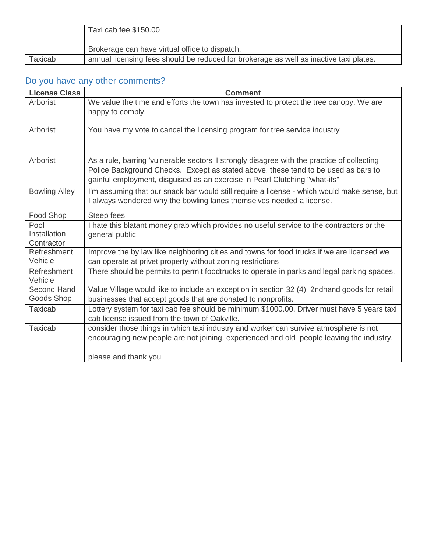|         | Taxi cab fee \$150.00                                                                  |
|---------|----------------------------------------------------------------------------------------|
|         | Brokerage can have virtual office to dispatch.                                         |
| Taxicab | annual licensing fees should be reduced for brokerage as well as inactive taxi plates. |

## Do you have any other comments?

| <b>License Class</b>               | <b>Comment</b>                                                                                                                                                                                                                                                  |
|------------------------------------|-----------------------------------------------------------------------------------------------------------------------------------------------------------------------------------------------------------------------------------------------------------------|
| Arborist                           | We value the time and efforts the town has invested to protect the tree canopy. We are<br>happy to comply.                                                                                                                                                      |
| Arborist                           | You have my vote to cancel the licensing program for tree service industry                                                                                                                                                                                      |
| Arborist                           | As a rule, barring 'vulnerable sectors' I strongly disagree with the practice of collecting<br>Police Background Checks. Except as stated above, these tend to be used as bars to<br>gainful employment, disguised as an exercise in Pearl Clutching "what-ifs" |
| <b>Bowling Alley</b>               | I'm assuming that our snack bar would still require a license - which would make sense, but<br>I always wondered why the bowling lanes themselves needed a license.                                                                                             |
| Food Shop                          | Steep fees                                                                                                                                                                                                                                                      |
| Pool<br>Installation<br>Contractor | I hate this blatant money grab which provides no useful service to the contractors or the<br>general public                                                                                                                                                     |
| Refreshment<br>Vehicle             | Improve the by law like neighboring cities and towns for food trucks if we are licensed we<br>can operate at privet property without zoning restrictions                                                                                                        |
| Refreshment<br>Vehicle             | There should be permits to permit foodtrucks to operate in parks and legal parking spaces.                                                                                                                                                                      |
| Second Hand<br>Goods Shop          | Value Village would like to include an exception in section 32 (4) 2ndhand goods for retail<br>businesses that accept goods that are donated to nonprofits.                                                                                                     |
| <b>Taxicab</b>                     | Lottery system for taxi cab fee should be minimum \$1000.00. Driver must have 5 years taxi<br>cab license issued from the town of Oakville.                                                                                                                     |
| <b>Taxicab</b>                     | consider those things in which taxi industry and worker can survive atmosphere is not<br>encouraging new people are not joining. experienced and old people leaving the industry.<br>please and thank you                                                       |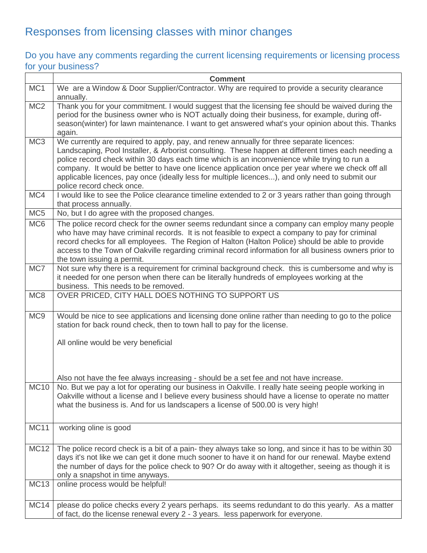# Responses from licensing classes with minor changes

### Do you have any comments regarding the current licensing requirements or licensing process for your business?

|                 | <b>Comment</b>                                                                                                                                                                                                                                                                                                                                                                                                                                                                                                                     |
|-----------------|------------------------------------------------------------------------------------------------------------------------------------------------------------------------------------------------------------------------------------------------------------------------------------------------------------------------------------------------------------------------------------------------------------------------------------------------------------------------------------------------------------------------------------|
| MC <sub>1</sub> | We are a Window & Door Supplier/Contractor. Why are required to provide a security clearance<br>annually.                                                                                                                                                                                                                                                                                                                                                                                                                          |
| MC <sub>2</sub> | Thank you for your commitment. I would suggest that the licensing fee should be waived during the<br>period for the business owner who is NOT actually doing their business, for example, during off-<br>season(winter) for lawn maintenance. I want to get answered what's your opinion about this. Thanks<br>again.                                                                                                                                                                                                              |
| MC <sub>3</sub> | We currently are required to apply, pay, and renew annually for three separate licences:<br>Landscaping, Pool Installer, & Arborist consulting. These happen at different times each needing a<br>police record check within 30 days each time which is an inconvenience while trying to run a<br>company. It would be better to have one licence application once per year where we check off all<br>applicable licences, pay once (ideally less for multiple licences), and only need to submit our<br>police record check once. |
| MC4             | I would like to see the Police clearance timeline extended to 2 or 3 years rather than going through<br>that process annually.                                                                                                                                                                                                                                                                                                                                                                                                     |
| MC <sub>5</sub> | No, but I do agree with the proposed changes.                                                                                                                                                                                                                                                                                                                                                                                                                                                                                      |
| MC <sub>6</sub> | The police record check for the owner seems redundant since a company can employ many people<br>who have may have criminal records. It is not feasible to expect a company to pay for criminal<br>record checks for all employees. The Region of Halton (Halton Police) should be able to provide<br>access to the Town of Oakville regarding criminal record information for all business owners prior to<br>the town issuing a permit.                                                                                           |
| MC7             | Not sure why there is a requirement for criminal background check. this is cumbersome and why is<br>it needed for one person when there can be literally hundreds of employees working at the<br>business. This needs to be removed.                                                                                                                                                                                                                                                                                               |
| MC8             | OVER PRICED, CITY HALL DOES NOTHING TO SUPPORT US                                                                                                                                                                                                                                                                                                                                                                                                                                                                                  |
| MC <sub>9</sub> | Would be nice to see applications and licensing done online rather than needing to go to the police<br>station for back round check, then to town hall to pay for the license.                                                                                                                                                                                                                                                                                                                                                     |
|                 | All online would be very beneficial                                                                                                                                                                                                                                                                                                                                                                                                                                                                                                |
|                 | Also not have the fee always increasing - should be a set fee and not have increase.                                                                                                                                                                                                                                                                                                                                                                                                                                               |
| <b>MC10</b>     | No. But we pay a lot for operating our business in Oakville. I really hate seeing people working in<br>Oakville without a license and I believe every business should have a license to operate no matter<br>what the business is. And for us landscapers a license of 500.00 is very high!                                                                                                                                                                                                                                        |
| <b>MC11</b>     | working oline is good                                                                                                                                                                                                                                                                                                                                                                                                                                                                                                              |
| <b>MC12</b>     | The police record check is a bit of a pain- they always take so long, and since it has to be within 30<br>days it's not like we can get it done much sooner to have it on hand for our renewal. Maybe extend<br>the number of days for the police check to 90? Or do away with it altogether, seeing as though it is<br>only a snapshot in time anyways.                                                                                                                                                                           |
| <b>MC13</b>     | online process would be helpful!                                                                                                                                                                                                                                                                                                                                                                                                                                                                                                   |
| <b>MC14</b>     | please do police checks every 2 years perhaps. its seems redundant to do this yearly. As a matter<br>of fact, do the license renewal every 2 - 3 years. less paperwork for everyone.                                                                                                                                                                                                                                                                                                                                               |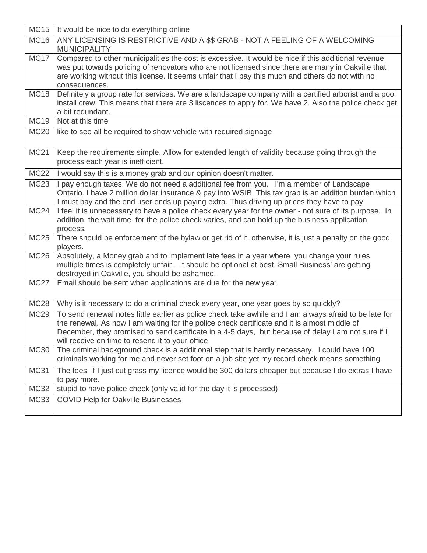| MC15 | It would be nice to do everything online

| <b>MC16</b>      | ANY LICENSING IS RESTRICTIVE AND A \$\$ GRAB - NOT A FEELING OF A WELCOMING<br><b>MUNICIPALITY</b>                                                                                                                                                                                                                                                               |
|------------------|------------------------------------------------------------------------------------------------------------------------------------------------------------------------------------------------------------------------------------------------------------------------------------------------------------------------------------------------------------------|
| <b>MC17</b>      | Compared to other municipalities the cost is excessive. It would be nice if this additional revenue<br>was put towards policing of renovators who are not licensed since there are many in Oakville that<br>are working without this license. It seems unfair that I pay this much and others do not with no<br>consequences.                                    |
| <b>MC18</b>      | Definitely a group rate for services. We are a landscape company with a certified arborist and a pool<br>install crew. This means that there are 3 liscences to apply for. We have 2. Also the police check get<br>a bit redundant.                                                                                                                              |
| <b>MC19</b>      | Not at this time                                                                                                                                                                                                                                                                                                                                                 |
| <b>MC20</b>      | like to see all be required to show vehicle with required signage                                                                                                                                                                                                                                                                                                |
| <b>MC21</b>      | Keep the requirements simple. Allow for extended length of validity because going through the<br>process each year is inefficient.                                                                                                                                                                                                                               |
| <b>MC22</b>      | I would say this is a money grab and our opinion doesn't matter.                                                                                                                                                                                                                                                                                                 |
| <b>MC23</b>      | I pay enough taxes. We do not need a additional fee from you. I'm a member of Landscape<br>Ontario. I have 2 million dollar insurance & pay into WSIB. This tax grab is an addition burden which<br>I must pay and the end user ends up paying extra. Thus driving up prices they have to pay.                                                                   |
| MC <sub>24</sub> | I feel it is unnecessary to have a police check every year for the owner - not sure of its purpose. In<br>addition, the wait time for the police check varies, and can hold up the business application<br>process.                                                                                                                                              |
| <b>MC25</b>      | There should be enforcement of the bylaw or get rid of it. otherwise, it is just a penalty on the good<br>players.                                                                                                                                                                                                                                               |
| <b>MC26</b>      | Absolutely, a Money grab and to implement late fees in a year where you change your rules<br>multiple times is completely unfair it should be optional at best. Small Business' are getting<br>destroyed in Oakville, you should be ashamed.                                                                                                                     |
| <b>MC27</b>      | Email should be sent when applications are due for the new year.                                                                                                                                                                                                                                                                                                 |
| <b>MC28</b>      | Why is it necessary to do a criminal check every year, one year goes by so quickly?                                                                                                                                                                                                                                                                              |
| <b>MC29</b>      | To send renewal notes little earlier as police check take awhile and I am always afraid to be late for<br>the renewal. As now I am waiting for the police check certificate and it is almost middle of<br>December, they promised to send certificate in a 4-5 days, but because of delay I am not sure if I<br>will receive on time to resend it to your office |
| <b>MC30</b>      | The criminal background check is a additional step that is hardly necessary. I could have 100<br>criminals working for me and never set foot on a job site yet my record check means something.                                                                                                                                                                  |
| <b>MC31</b>      | The fees, if I just cut grass my licence would be 300 dollars cheaper but because I do extras I have<br>to pay more.                                                                                                                                                                                                                                             |
| <b>MC32</b>      | stupid to have police check (only valid for the day it is processed)                                                                                                                                                                                                                                                                                             |
| <b>MC33</b>      | <b>COVID Help for Oakville Businesses</b>                                                                                                                                                                                                                                                                                                                        |

 $\overline{\phantom{a}}$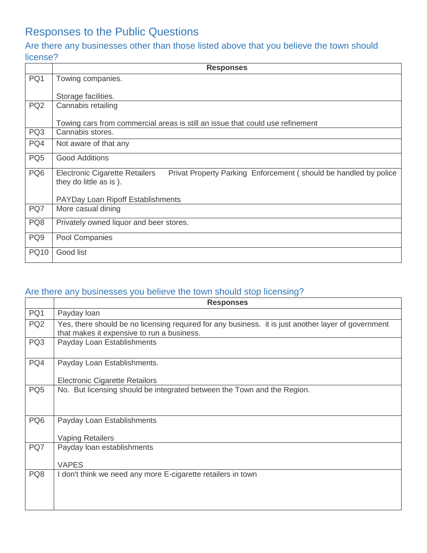## Responses to the Public Questions

### Are there any businesses other than those listed above that you believe the town should license?

|                 | <b>Responses</b>                                                                                                                     |
|-----------------|--------------------------------------------------------------------------------------------------------------------------------------|
| PQ1             | Towing companies.                                                                                                                    |
|                 | Storage facilities.                                                                                                                  |
| PQ <sub>2</sub> | Cannabis retailing                                                                                                                   |
|                 | Towing cars from commercial areas is still an issue that could use refinement                                                        |
| PQ3             | Cannabis stores.                                                                                                                     |
| PQ4             | Not aware of that any                                                                                                                |
| PQ <sub>5</sub> | <b>Good Additions</b>                                                                                                                |
| PQ <sub>6</sub> | <b>Electronic Cigarette Retailers</b><br>Privat Property Parking Enforcement (should be handled by police<br>they do little as is ). |
|                 | <b>PAYDay Loan Ripoff Establishments</b>                                                                                             |
| PQ7             | More casual dining                                                                                                                   |
| PQ8             | Privately owned liquor and beer stores.                                                                                              |
| PQ <sub>9</sub> | Pool Companies                                                                                                                       |
| <b>PQ10</b>     | Good list                                                                                                                            |

#### Are there any businesses you believe the town should stop licensing?

|                 | <b>Responses</b>                                                                                                                                  |
|-----------------|---------------------------------------------------------------------------------------------------------------------------------------------------|
| PQ1             | Payday loan                                                                                                                                       |
| PQ <sub>2</sub> | Yes, there should be no licensing required for any business. it is just another layer of government<br>that makes it expensive to run a business. |
| PQ3             | Payday Loan Establishments                                                                                                                        |
| PQ4             | Payday Loan Establishments.                                                                                                                       |
|                 | <b>Electronic Cigarette Retailors</b>                                                                                                             |
| PQ <sub>5</sub> | No. But licensing should be integrated between the Town and the Region.                                                                           |
| PQ <sub>6</sub> | Payday Loan Establishments<br><b>Vaping Retailers</b>                                                                                             |
| PQ7             | Payday loan establishments<br><b>VAPES</b>                                                                                                        |
| PQ8             | I don't think we need any more E-cigarette retailers in town                                                                                      |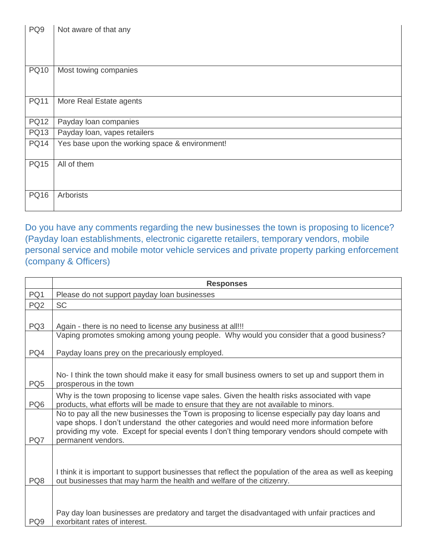| PQ <sub>9</sub> | Not aware of that any                          |
|-----------------|------------------------------------------------|
| <b>PQ10</b>     | Most towing companies                          |
| <b>PQ11</b>     | More Real Estate agents                        |
| <b>PQ12</b>     | Payday loan companies                          |
| <b>PQ13</b>     | Payday loan, vapes retailers                   |
| <b>PQ14</b>     | Yes base upon the working space & environment! |
| <b>PQ15</b>     | All of them                                    |
| <b>PQ16</b>     | Arborists                                      |

Do you have any comments regarding the new businesses the town is proposing to licence? (Payday loan establishments, electronic cigarette retailers, temporary vendors, mobile personal service and mobile motor vehicle services and private property parking enforcement (company & Officers)

|                 | <b>Responses</b>                                                                                                                                                                                                                                                                                                       |
|-----------------|------------------------------------------------------------------------------------------------------------------------------------------------------------------------------------------------------------------------------------------------------------------------------------------------------------------------|
| PQ1             | Please do not support payday loan businesses                                                                                                                                                                                                                                                                           |
| PQ <sub>2</sub> | <b>SC</b>                                                                                                                                                                                                                                                                                                              |
| PQ3             | Again - there is no need to license any business at all!!!                                                                                                                                                                                                                                                             |
|                 | Vaping promotes smoking among young people. Why would you consider that a good business?                                                                                                                                                                                                                               |
| PQ4             | Payday loans prey on the precariously employed.                                                                                                                                                                                                                                                                        |
| PQ <sub>5</sub> | No-I think the town should make it easy for small business owners to set up and support them in<br>prosperous in the town                                                                                                                                                                                              |
| PQ <sub>6</sub> | Why is the town proposing to license vape sales. Given the health risks associated with vape<br>products, what efforts will be made to ensure that they are not available to minors.                                                                                                                                   |
| PQ7             | No to pay all the new businesses the Town is proposing to license especially pay day loans and<br>vape shops. I don't understand the other categories and would need more information before<br>providing my vote. Except for special events I don't thing temporary vendors should compete with<br>permanent vendors. |
| PQ8             | I think it is important to support businesses that reflect the population of the area as well as keeping<br>out businesses that may harm the health and welfare of the citizenry.                                                                                                                                      |
| PQ9             | Pay day loan businesses are predatory and target the disadvantaged with unfair practices and<br>exorbitant rates of interest.                                                                                                                                                                                          |